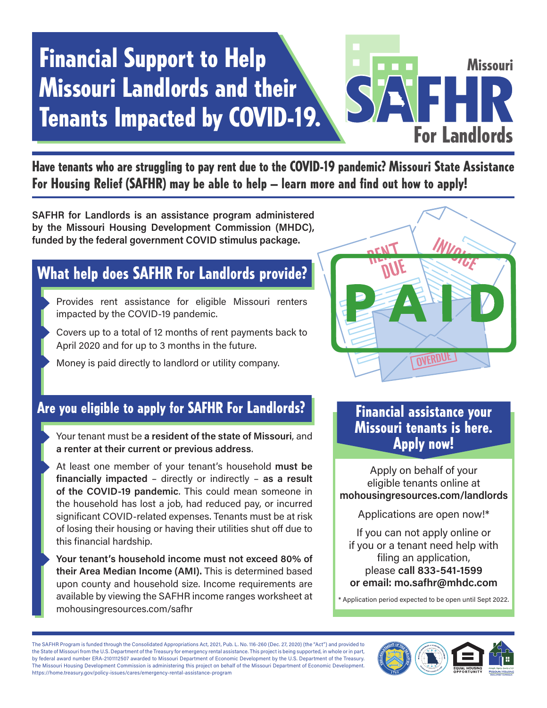### Financial Support to Help Missouri Landlords and their Tenants Impacted by COVID-19.

# For Landlords Missouri

Have tenants who are struggling to pay rent due to the COVID-19 pandemic? Missouri State Assistance For Housing Relief (SAFHR) may be able to help – learn more and find out how to apply!

SAFHR for Landlords is an assistance program administered by the Missouri Housing Development Commission (MHDC), funded by the federal government COVID stimulus package.

### What help does SAFHR For Landlords provide?

- Provides rent assistance for eligible Missouri renters impacted by the COVID-19 pandemic.
- Covers up to a total of 12 months of rent payments back to April 2020 and for up to 3 months in the future.
- Money is paid directly to landlord or utility company.



### Are you eligible to apply for SAFHR For Landlords?

- Your tenant must be a resident of the state of Missouri, and a renter at their current or previous address.
- At least one member of your tenant's household must be financially impacted – directly or indirectly – as a result of the COVID-19 pandemic. This could mean someone in the household has lost a job, had reduced pay, or incurred significant COVID-related expenses. Tenants must be at risk of losing their housing or having their utilities shut off due to this financial hardship.
- Your tenant's household income must not exceed 80% of their Area Median Income (AMI). This is determined based upon county and household size. Income requirements are available by viewing the SAFHR income ranges worksheet at mohousingresources.com/safhr

### Financial assistance your Missouri tenants is here. Apply now!

Apply on behalf of your eligible tenants online at mohousingresources.com/landlords

Applications are open now!\*

If you can not apply online or if you or a tenant need help with filing an application, please call 833-541-1599 or email: mo.safhr@mhdc.com

\* Application period expected to be open until Sept 2022.

The SAFHR Program is funded through the Consolidated Appropriations Act, 2021, Pub. L. No. 116-260 (Dec. 27, 2020) (the "Act") and provided to the State of Missouri from the U.S. Department of the Treasury for emergency rental assistance. This project is being supported, in whole or in part, by federal award number ERA-2101112507 awarded to Missouri Department of Economic Development by the U.S. Department of the Treasury. The Missouri Housing Development Commission is administering this project on behalf of the Missouri Department of Economic Development. https://home.treasury.gov/policy-issues/cares/emergency-rental-assistance-program